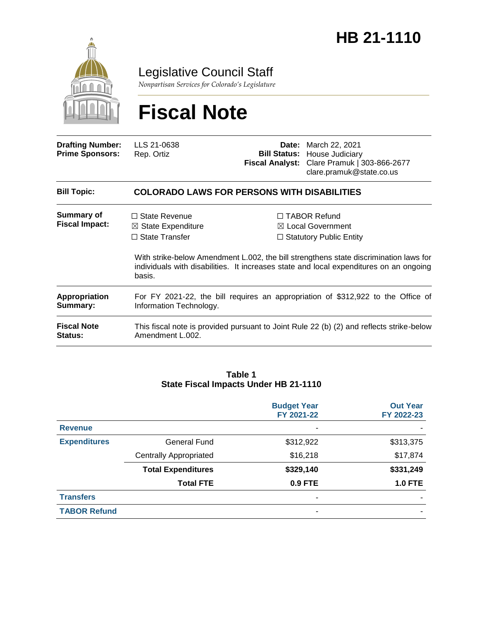

Legislative Council Staff

*Nonpartisan Services for Colorado's Legislature*

# **Fiscal Note**

| <b>Drafting Number:</b><br><b>Prime Sponsors:</b> | LLS 21-0638<br>Rep. Ortiz                                                                                    | Date: | March 22, 2021<br><b>Bill Status: House Judiciary</b><br>Fiscal Analyst: Clare Pramuk   303-866-2677<br>clare.pramuk@state.co.us                                               |  |  |
|---------------------------------------------------|--------------------------------------------------------------------------------------------------------------|-------|--------------------------------------------------------------------------------------------------------------------------------------------------------------------------------|--|--|
| <b>Bill Topic:</b>                                | <b>COLORADO LAWS FOR PERSONS WITH DISABILITIES</b>                                                           |       |                                                                                                                                                                                |  |  |
| <b>Summary of</b><br><b>Fiscal Impact:</b>        | $\Box$ State Revenue<br>$\boxtimes$ State Expenditure<br>$\Box$ State Transfer                               |       | $\Box$ TABOR Refund<br>$\boxtimes$ Local Government<br>$\Box$ Statutory Public Entity<br>With strike-below Amendment L.002, the bill strengthens state discrimination laws for |  |  |
|                                                   | individuals with disabilities. It increases state and local expenditures on an ongoing<br>basis.             |       |                                                                                                                                                                                |  |  |
| <b>Appropriation</b><br>Summary:                  | For FY 2021-22, the bill requires an appropriation of \$312,922 to the Office of<br>Information Technology.  |       |                                                                                                                                                                                |  |  |
| <b>Fiscal Note</b><br><b>Status:</b>              | This fiscal note is provided pursuant to Joint Rule 22 (b) (2) and reflects strike-below<br>Amendment L.002. |       |                                                                                                                                                                                |  |  |

#### **Table 1 State Fiscal Impacts Under HB 21-1110**

|                     |                               | <b>Budget Year</b><br>FY 2021-22 | <b>Out Year</b><br>FY 2022-23 |
|---------------------|-------------------------------|----------------------------------|-------------------------------|
| <b>Revenue</b>      |                               | ٠                                |                               |
| <b>Expenditures</b> | <b>General Fund</b>           | \$312,922                        | \$313,375                     |
|                     | <b>Centrally Appropriated</b> | \$16,218                         | \$17,874                      |
|                     | <b>Total Expenditures</b>     | \$329,140                        | \$331,249                     |
|                     | <b>Total FTE</b>              | $0.9$ FTE                        | <b>1.0 FTE</b>                |
| <b>Transfers</b>    |                               | ٠                                |                               |
| <b>TABOR Refund</b> |                               | $\overline{\phantom{0}}$         |                               |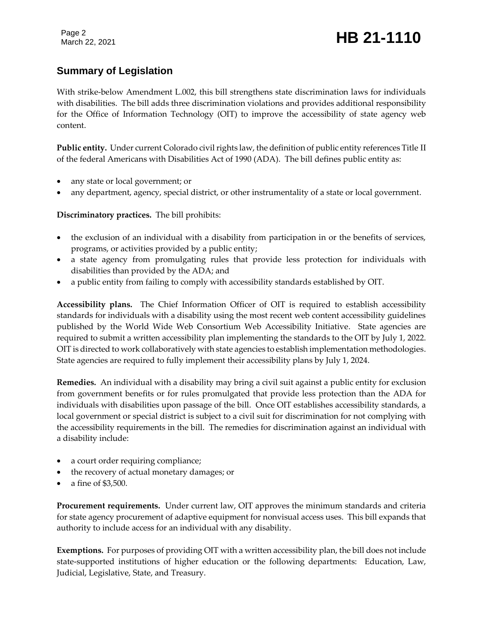Page 2

# March 22, 2021 **HB 21-1110**

# **Summary of Legislation**

With strike-below Amendment L.002, this bill strengthens state discrimination laws for individuals with disabilities. The bill adds three discrimination violations and provides additional responsibility for the Office of Information Technology (OIT) to improve the accessibility of state agency web content.

**Public entity.** Under current Colorado civil rights law, the definition of public entity references Title II of the federal Americans with Disabilities Act of 1990 (ADA). The bill defines public entity as:

- any state or local government; or
- any department, agency, special district, or other instrumentality of a state or local government.

**Discriminatory practices.** The bill prohibits:

- the exclusion of an individual with a disability from participation in or the benefits of services, programs, or activities provided by a public entity;
- a state agency from promulgating rules that provide less protection for individuals with disabilities than provided by the ADA; and
- a public entity from failing to comply with accessibility standards established by OIT.

**Accessibility plans.** The Chief Information Officer of OIT is required to establish accessibility standards for individuals with a disability using the most recent web content accessibility guidelines published by the World Wide Web Consortium Web Accessibility Initiative. State agencies are required to submit a written accessibility plan implementing the standards to the OIT by July 1, 2022. OIT is directed to work collaboratively with state agencies to establish implementation methodologies. State agencies are required to fully implement their accessibility plans by July 1, 2024.

**Remedies.** An individual with a disability may bring a civil suit against a public entity for exclusion from government benefits or for rules promulgated that provide less protection than the ADA for individuals with disabilities upon passage of the bill. Once OIT establishes accessibility standards, a local government or special district is subject to a civil suit for discrimination for not complying with the accessibility requirements in the bill. The remedies for discrimination against an individual with a disability include:

- a court order requiring compliance;
- the recovery of actual monetary damages; or
- a fine of \$3,500.

**Procurement requirements.** Under current law, OIT approves the minimum standards and criteria for state agency procurement of adaptive equipment for nonvisual access uses. This bill expands that authority to include access for an individual with any disability.

**Exemptions.** For purposes of providing OIT with a written accessibility plan, the bill does not include state-supported institutions of higher education or the following departments: Education, Law, Judicial, Legislative, State, and Treasury.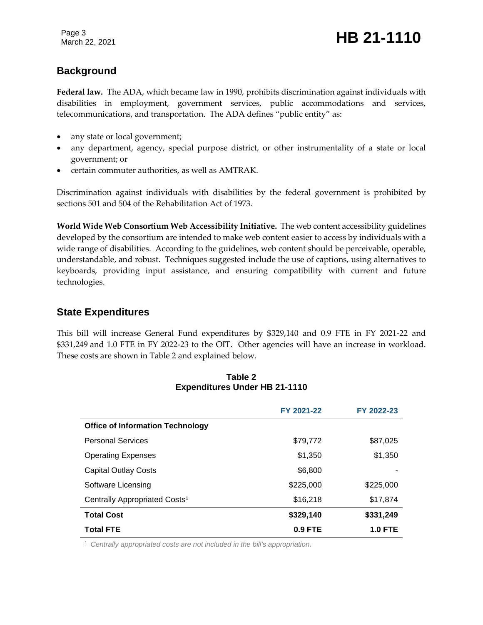# **Background**

**Federal law.** The ADA, which became law in 1990, prohibits discrimination against individuals with disabilities in employment, government services, public accommodations and services, telecommunications, and transportation. The ADA defines "public entity" as:

- any state or local government;
- any department, agency, special purpose district, or other instrumentality of a state or local government; or
- certain commuter authorities, as well as AMTRAK.

Discrimination against individuals with disabilities by the federal government is prohibited by sections 501 and 504 of the Rehabilitation Act of 1973.

**World Wide Web Consortium Web Accessibility Initiative.** The web content accessibility guidelines developed by the consortium are intended to make web content easier to access by individuals with a wide range of disabilities. According to the guidelines, web content should be perceivable, operable, understandable, and robust. Techniques suggested include the use of captions, using alternatives to keyboards, providing input assistance, and ensuring compatibility with current and future technologies.

### **State Expenditures**

This bill will increase General Fund expenditures by \$329,140 and 0.9 FTE in FY 2021-22 and \$331,249 and 1.0 FTE in FY 2022-23 to the OIT. Other agencies will have an increase in workload. These costs are shown in Table 2 and explained below.

|                                           | FY 2021-22 | FY 2022-23     |
|-------------------------------------------|------------|----------------|
| <b>Office of Information Technology</b>   |            |                |
| <b>Personal Services</b>                  | \$79,772   | \$87,025       |
| <b>Operating Expenses</b>                 | \$1,350    | \$1,350        |
| <b>Capital Outlay Costs</b>               | \$6,800    |                |
| Software Licensing                        | \$225,000  | \$225,000      |
| Centrally Appropriated Costs <sup>1</sup> | \$16,218   | \$17,874       |
| <b>Total Cost</b>                         | \$329,140  | \$331,249      |
| <b>Total FTE</b>                          | $0.9$ FTE  | <b>1.0 FTE</b> |

#### **Table 2 Expenditures Under HB 21-1110**

<sup>1</sup> *Centrally appropriated costs are not included in the bill's appropriation.*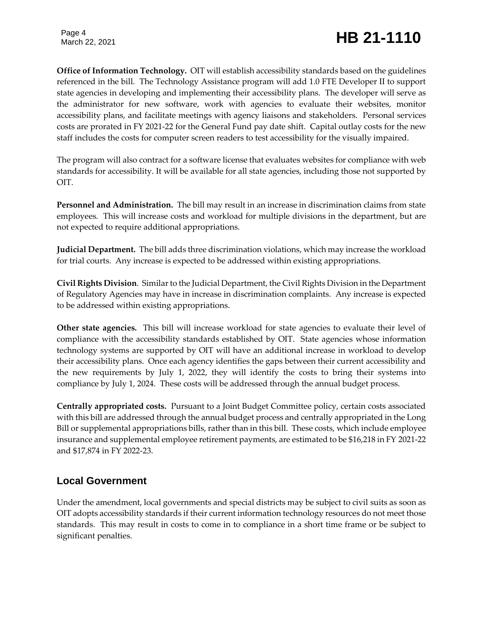Page 4

# March 22, 2021 **HB 21-1110**

**Office of Information Technology.** OIT will establish accessibility standards based on the guidelines referenced in the bill. The Technology Assistance program will add 1.0 FTE Developer II to support state agencies in developing and implementing their accessibility plans. The developer will serve as the administrator for new software, work with agencies to evaluate their websites, monitor accessibility plans, and facilitate meetings with agency liaisons and stakeholders. Personal services costs are prorated in FY 2021-22 for the General Fund pay date shift. Capital outlay costs for the new staff includes the costs for computer screen readers to test accessibility for the visually impaired.

The program will also contract for a software license that evaluates websites for compliance with web standards for accessibility. It will be available for all state agencies, including those not supported by OIT.

**Personnel and Administration.** The bill may result in an increase in discrimination claims from state employees. This will increase costs and workload for multiple divisions in the department, but are not expected to require additional appropriations.

**Judicial Department.** The bill adds three discrimination violations, which may increase the workload for trial courts. Any increase is expected to be addressed within existing appropriations.

**Civil Rights Division**. Similar to the Judicial Department, the Civil Rights Division in the Department of Regulatory Agencies may have in increase in discrimination complaints. Any increase is expected to be addressed within existing appropriations.

**Other state agencies.** This bill will increase workload for state agencies to evaluate their level of compliance with the accessibility standards established by OIT. State agencies whose information technology systems are supported by OIT will have an additional increase in workload to develop their accessibility plans. Once each agency identifies the gaps between their current accessibility and the new requirements by July 1, 2022, they will identify the costs to bring their systems into compliance by July 1, 2024. These costs will be addressed through the annual budget process.

**Centrally appropriated costs.** Pursuant to a Joint Budget Committee policy, certain costs associated with this bill are addressed through the annual budget process and centrally appropriated in the Long Bill or supplemental appropriations bills, rather than in this bill. These costs, which include employee insurance and supplemental employee retirement payments, are estimated to be \$16,218 in FY 2021-22 and \$17,874 in FY 2022-23.

# **Local Government**

Under the amendment, local governments and special districts may be subject to civil suits as soon as OIT adopts accessibility standards if their current information technology resources do not meet those standards. This may result in costs to come in to compliance in a short time frame or be subject to significant penalties.